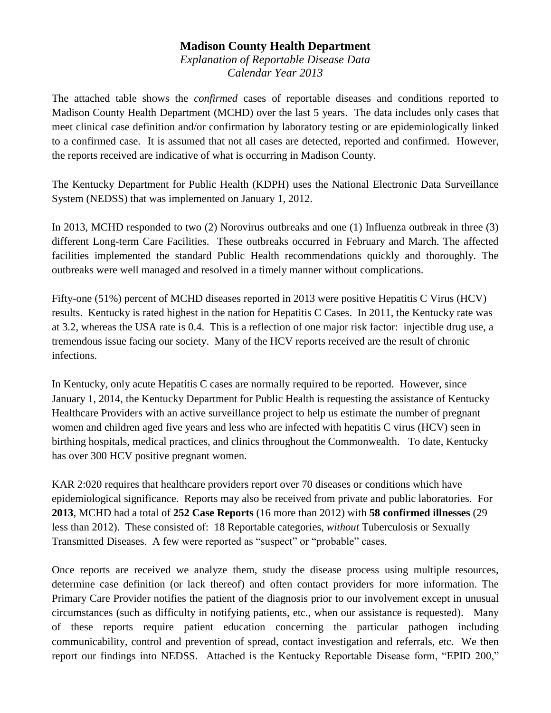## **Madison County Health Department**

*Explanation of Reportable Disease Data Calendar Year 2013*

The attached table shows the *confirmed* cases of reportable diseases and conditions reported to Madison County Health Department (MCHD) over the last 5 years. The data includes only cases that meet clinical case definition and/or confirmation by laboratory testing or are epidemiologically linked to a confirmed case. It is assumed that not all cases are detected, reported and confirmed. However, the reports received are indicative of what is occurring in Madison County.

The Kentucky Department for Public Health (KDPH) uses the National Electronic Data Surveillance System (NEDSS) that was implemented on January 1, 2012.

In 2013, MCHD responded to two (2) Norovirus outbreaks and one (1) Influenza outbreak in three (3) different Long-term Care Facilities. These outbreaks occurred in February and March. The affected facilities implemented the standard Public Health recommendations quickly and thoroughly. The outbreaks were well managed and resolved in a timely manner without complications.

Fifty-one (51%) percent of MCHD diseases reported in 2013 were positive Hepatitis C Virus (HCV) results. Kentucky is rated highest in the nation for Hepatitis C Cases. In 2011, the Kentucky rate was at 3.2, whereas the USA rate is 0.4. This is a reflection of one major risk factor: injectible drug use, a tremendous issue facing our society. Many of the HCV reports received are the result of chronic infections.

In Kentucky, only acute Hepatitis C cases are normally required to be reported. However, since January 1, 2014, the Kentucky Department for Public Health is requesting the assistance of Kentucky Healthcare Providers with an active surveillance project to help us estimate the number of pregnant women and children aged five years and less who are infected with hepatitis C virus (HCV) seen in birthing hospitals, medical practices, and clinics throughout the Commonwealth. To date, Kentucky has over 300 HCV positive pregnant women.

KAR 2:020 requires that healthcare providers report over 70 diseases or conditions which have epidemiological significance. Reports may also be received from private and public laboratories. For **2013**, MCHD had a total of **252 Case Reports** (16 more than 2012) with **58 confirmed illnesses** (29 less than 2012). These consisted of: 18 Reportable categories, *without* Tuberculosis or Sexually Transmitted Diseases. A few were reported as "suspect" or "probable" cases.

Once reports are received we analyze them, study the disease process using multiple resources, determine case definition (or lack thereof) and often contact providers for more information. The Primary Care Provider notifies the patient of the diagnosis prior to our involvement except in unusual circumstances (such as difficulty in notifying patients, etc., when our assistance is requested). Many of these reports require patient education concerning the particular pathogen including communicability, control and prevention of spread, contact investigation and referrals, etc. We then report our findings into NEDSS. Attached is the Kentucky Reportable Disease form, "EPID 200,"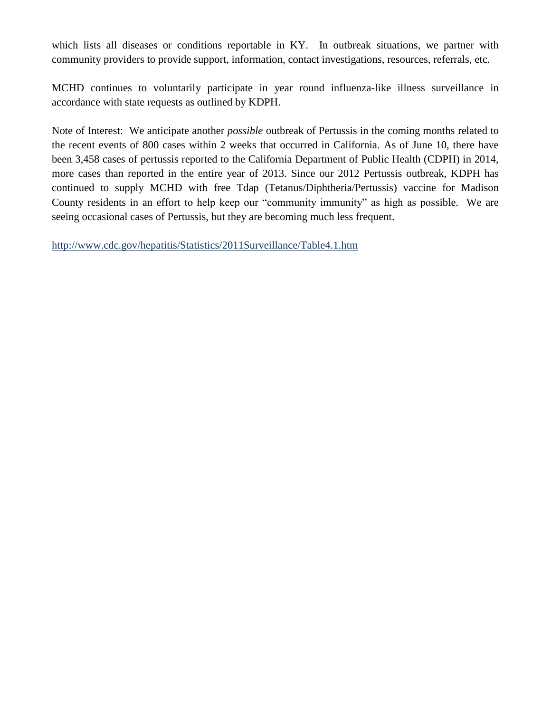which lists all diseases or conditions reportable in KY. In outbreak situations, we partner with community providers to provide support, information, contact investigations, resources, referrals, etc.

MCHD continues to voluntarily participate in year round influenza-like illness surveillance in accordance with state requests as outlined by KDPH.

Note of Interest: We anticipate another *possible* outbreak of Pertussis in the coming months related to the recent events of 800 cases within 2 weeks that occurred in California. As of June 10, there have been 3,458 cases of [pertussis](http://www.healio.com/infectious-disease/pediatric-id/news/print/infectious-disease-news/%7B995c9cc3-e549-4d4b-9ff9-ca7a809388bb%7D/unknown-toxin-may-be-cause-of-pertussis-cough) reported to the California Department of Public Health (CDPH) in 2014, more cases than reported in the entire year of 2013. Since our 2012 Pertussis outbreak, KDPH has continued to supply MCHD with free Tdap (Tetanus/Diphtheria/Pertussis) vaccine for Madison County residents in an effort to help keep our "community immunity" as high as possible. We are seeing occasional cases of Pertussis, but they are becoming much less frequent.

<http://www.cdc.gov/hepatitis/Statistics/2011Surveillance/Table4.1.htm>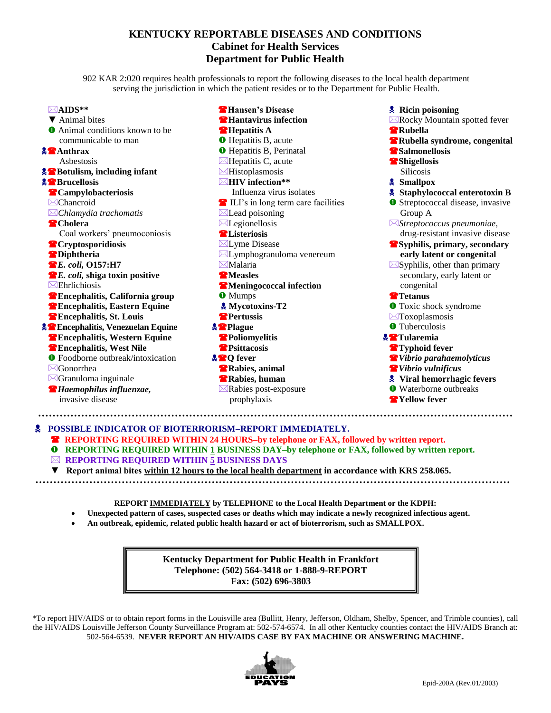## **KENTUCKY REPORTABLE DISEASES AND CONDITIONS Cabinet for Health Services Department for Public Health**

902 KAR 2:020 requires health professionals to report the following diseases to the local health department serving the jurisdiction in which the patient resides or to the Department for Public Health.

| ⊠AIDS**                                     | <b>The Hansen's Disease</b>          | <b>Ricin poisoning</b>                   |
|---------------------------------------------|--------------------------------------|------------------------------------------|
| ▼ Animal bites                              | <b>T</b> Hantavirus infection        | ⊠Rocky Mountain spotted fever            |
| <b>O</b> Animal conditions known to be      | <b>Repatitis A</b>                   | Rubella                                  |
| communicable to man                         | <b>O</b> Hepatitis B, acute          | <b>Rubella syndrome, congenital</b>      |
| $\sqrt{2}$ Anthrax                          | <b>O</b> Hepatitis B, Perinatal      | <b>Salmonellosis</b>                     |
| Asbestosis                                  | $\boxtimes$ Hepatitis C, acute       | <b>Shigellosis</b>                       |
| <b>A</b> Botulism, including infant         | $\boxtimes$ Histoplasmosis           | <b>Silicosis</b>                         |
| <b>A</b> Brucellosis                        | $\boxtimes$ HIV infection**          | <b>&amp; Smallpox</b>                    |
| <b>Campylobacteriosis</b>                   | Influenza virus isolates             | Staphylococcal enterotoxin B             |
| $\boxtimes$ Chancroid                       | E ILI's in long term care facilities | <b>O</b> Streptococcal disease, invasive |
| $\boxtimes$ Chlamydia trachomatis           | $\boxtimes$ Lead poisoning           | Group A                                  |
| <b>Cholera</b>                              | $\boxtimes$ Legionellosis            | $\boxtimes$ Streptococcus pneumoniae,    |
| Coal workers' pneumoconiosis                | <b>AListeriosis</b>                  | drug-resistant invasive disease          |
| <sup>2</sup> Cryptosporidiosis              | ⊠Lyme Disease                        | <b>Syphilis, primary, secondary</b>      |
| <b>Diphtheria</b>                           | ⊠Lymphogranuloma venereum            | early latent or congenital               |
| <b>B.</b> E. coli, 0157:H7                  | $\boxtimes$ Malaria                  | $\boxtimes$ Syphilis, other than primary |
| E. coli, shiga toxin positive               | <b>T</b> Measles                     | secondary, early latent or               |
| $\boxtimes$ Ehrlichiosis                    | <b>Meningococcal infection</b>       | congenital                               |
| <sup>2</sup> Encephalitis, California group | <b>O</b> Mumps                       | <b>T</b> etanus                          |
| <sup>2</sup> Encephalitis, Eastern Equine   | & Mycotoxins-T2                      | <b>O</b> Toxic shock syndrome            |
| <sup>2</sup> Encephalitis, St. Louis        | Pertussis                            | $\boxtimes$ Toxoplasmosis                |
| <b>A Encephalitis, Venezuelan Equine</b>    | <b>A</b> Plague                      | <b>O</b> Tuberculosis                    |
| <sup>2</sup> Encephalitis, Western Equine   | Poliomyelitis                        | <b>A</b> Tularemia                       |
| <b>TEncephalitis, West Nile</b>             | <b>P</b> Psittacosis                 | <sup>2</sup> Typhoid fever               |
| <b>O</b> Foodborne outbreak/intoxication    | <b>APQ</b> fever                     | <i>Nibrio parahaemolyticus</i>           |
| $\boxtimes$ Gonorrhea                       | <b>Rabies</b> , animal               | <i>Nibrio</i> vulnificus                 |
| $\boxtimes$ Granuloma inguinale             | Rabies, human                        | Viral hemorrhagic fevers                 |
| <sup>2</sup> Haemophilus influenzae,        | ⊠Rabies post-exposure                | <b>O</b> Waterborne outbreaks            |
| invasive disease                            | prophylaxis                          | <sup>2</sup> Yellow fever                |

 **POSSIBLE INDICATOR OF BIOTERRORISM–REPORT IMMEDIATELY. <b>** $\bullet$  REPORTING REQUIRED WITHIN 24 HOURS–by telephone or FAX, followed by written report. **Q** REPORTING REQUIRED WITHIN 1 BUSINESS DAY–by telephone or FAX, followed by written report. **REPORTING REQUIRED WITHIN 5 BUSINESS DAYS ▼ Report animal bites within 12 hours to the local health department in accordance with KRS 258.065. …………………………………………………… ………………………………………………………………**

**REPORT IMMEDIATELY by TELEPHONE to the Local Health Department or the KDPH:**

- **Unexpected pattern of cases, suspected cases or deaths which may indicate a newly recognized infectious agent.**
- **An outbreak, epidemic, related public health hazard or act of bioterrorism, such as SMALLPOX.**

**Kentucky Department for Public Health in Frankfort Telephone: (502) 564-3418 or 1-888-9-REPORT Fax: (502) 696-3803**

\*To report HIV/AIDS or to obtain report forms in the Louisville area (Bullitt, Henry, Jefferson, Oldham, Shelby, Spencer, and Trimble counties), call the HIV/AIDS Louisville Jefferson County Surveillance Program at: 502-574-6574. In all other Kentucky counties contact the HIV/AIDS Branch at: 502-564-6539. **NEVER REPORT AN HIV/AIDS CASE BY FAX MACHINE OR ANSWERING MACHINE.**

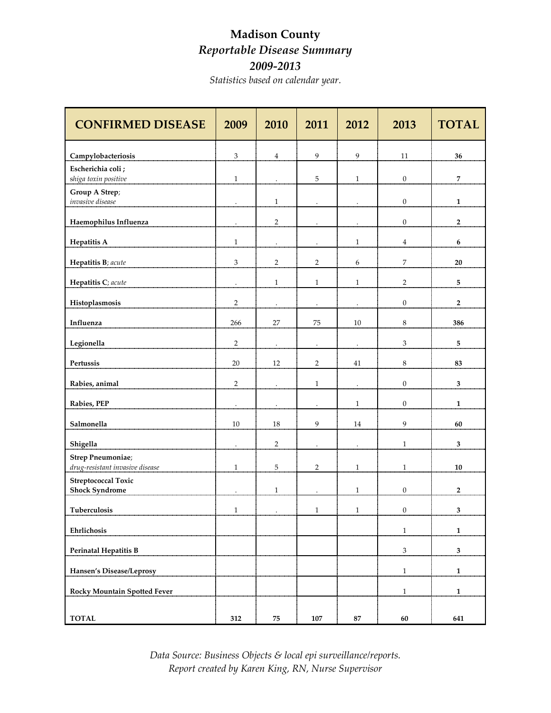## **Madison County**  *Reportable Disease Summary 2009-2013*

*Statistics based on calendar year.*

| <b>CONFIRMED DISEASE</b>                                     | 2009                 | 2010                 | 2011                 | 2012                 | 2013                        | <b>TOTAL</b>   |
|--------------------------------------------------------------|----------------------|----------------------|----------------------|----------------------|-----------------------------|----------------|
| Campylobacteriosis                                           | 3                    | $\bf{4}$             | 9                    | 9                    | $11\,$                      | 36             |
| Escherichia coli ;                                           |                      |                      |                      |                      |                             |                |
| shiga toxin positive                                         | $\mathbf{1}$         | $\cdot$              | $\sqrt{5}$           | $\mathbf{1}$         | $\boldsymbol{0}$            | $\overline{7}$ |
| Group A Strep;<br>invasive disease                           | $\ddot{\phantom{0}}$ | $\,1\,$              | $\cdot$              | $\cdot$              | $\boldsymbol{0}$            | $\mathbf{1}$   |
| Haemophilus Influenza                                        | $\cdot$              | $\sqrt{2}$           | $\epsilon$           | $\bullet$            | $\boldsymbol{0}$            | $\mathbf 2$    |
| <b>Hepatitis A</b>                                           | $\mathbf{1}$         |                      |                      | $\mathbf{1}$         | $\overline{4}$              | 6              |
| Hepatitis B; acute                                           | 3                    | $\sqrt{2}$           | $\sqrt{2}$           | 6                    | $\overline{7}$              | ${\bf 20}$     |
| Hepatitis C; acute                                           | $\cdot$              | $\,1\,$              | $\mathbf{1}$         | $\mathbf{1}$         | $\sqrt{2}$                  | ${\bf 5}$      |
| Histoplasmosis                                               | $\sqrt{2}$           | $\cdot$              | $\ddot{\phantom{1}}$ |                      | $\boldsymbol{0}$            | $\mathbf 2$    |
| Influenza                                                    | 266                  | 27                   | 75                   | $10\,$               | $\,8\,$                     | 386            |
| Legionella                                                   | $\overline{2}$       |                      |                      |                      | $\ensuremath{\mathfrak{Z}}$ | 5              |
| Pertussis                                                    | $20\,$               | 12                   | $\sqrt{2}$           | $41\,$               | $\,8\,$                     | 83             |
| Rabies, animal                                               | $\overline{2}$       | $\cdot$              | $\mathbf{1}$         |                      | $\boldsymbol{0}$            | $\mathbf{3}$   |
| Rabies, PEP                                                  | $\ddot{\phantom{1}}$ | $\ddot{\phantom{0}}$ |                      | $\mathbf{1}$         | $\mathbf{0}$                | $\mathbf{1}$   |
| Salmonella                                                   | 10                   | 18                   | 9                    | 14                   | $\boldsymbol{9}$            | 60             |
| Shigella                                                     | $\cdot$              | $\overline{2}$       | $\cdot$              | $\ddot{\phantom{0}}$ | $\,1$                       | 3              |
| <b>Strep Pneumoniae</b> ;<br>drug-resistant invasive disease | $\mathbf{1}$         | 5                    | $\overline{2}$       | $\mathbf{1}$         | $\,1\,$                     | ${\bf 10}$     |
| <b>Streptococcal Toxic</b>                                   |                      |                      |                      |                      |                             |                |
| <b>Shock Syndrome</b>                                        |                      | $\,1\,$              |                      | $\mathbf{1}$         | $\mathbf{0}$                | $\overline{2}$ |
| <b>Tuberculosis</b>                                          | $\mathbf{1}$         |                      | $\mathbf{1}$         | $\mathbf{1}$         | $\Omega$                    | 3              |
| Ehrlichosis                                                  |                      |                      |                      |                      | $\mathbf{1}$                | $\mathbf{1}$   |
| <b>Perinatal Hepatitis B</b>                                 |                      |                      |                      |                      | $\ensuremath{\mathsf{3}}$   | $\mathbf{3}$   |
| Hansen's Disease/Leprosy                                     |                      |                      |                      |                      | $\overline{1}$              | $\mathbf 1$    |
| <b>Rocky Mountain Spotted Fever</b>                          |                      |                      |                      |                      | $\,1\,$                     | $\mathbf 1$    |
| <b>TOTAL</b>                                                 | 312                  | ${\bf 75}$           | ${\bf 107}$          | ${\bf 87}$           | $60\,$                      | 641            |

*Data Source: Business Objects & local epi surveillance/reports. Report created by Karen King, RN, Nurse Supervisor*